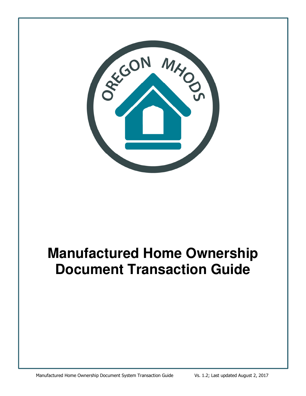

# **Manufactured Home Ownership Document Transaction Guide**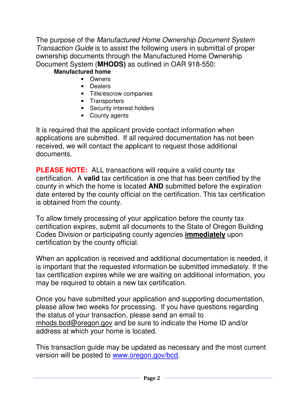The purpose of the Manufactured Home Ownership Document System Transaction Guide is to assist the following users in submittal of proper ownership documents through the Manufactured Home Ownership Document System (**MHODS)** as outlined in OAR 918-550:

### **Manufactured home**

- Owners
- Dealers
- Title/escrow companies
- Transporters
- Security interest holders
- County agents

It is required that the applicant provide contact information when applications are submitted. If all required documentation has not been received, we will contact the applicant to request those additional documents.

**PLEASE NOTE:** ALL transactions will require a valid county tax certification. A **valid** tax certification is one that has been certified by the county in which the home is located **AND** submitted before the expiration date entered by the county official on the certification. This tax certification is obtained from the county.

To allow timely processing of your application before the county tax certification expires, submit all documents to the State of Oregon Building Codes Division or participating county agencies **immediately** upon certification by the county official.

When an application is received and additional documentation is needed, it is important that the requested information be submitted immediately. If the tax certification expires while we are waiting on additional information, you may be required to obtain a new tax certification.

Once you have submitted your application and supporting documentation, please allow two weeks for processing. If you have questions regarding the status of your transaction, please send an email to mhods.bcd@oregon.gov and be sure to indicate the Home ID and/or address at which your home is located.

This transaction guide may be updated as necessary and the most current version will be posted to www.oregon.gov/bcd.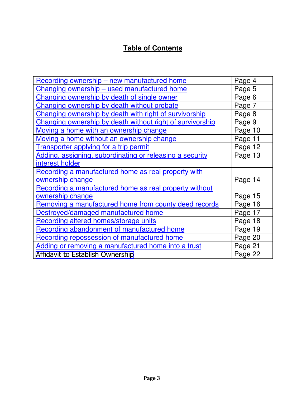### **Table of Contents**

| Recording ownership - new manufactured home               | Page 4  |
|-----------------------------------------------------------|---------|
| Changing ownership – used manufactured home               | Page 5  |
| Changing ownership by death of single owner               | Page 6  |
| Changing ownership by death without probate               | Page 7  |
| Changing ownership by death with right of survivorship    | Page 8  |
| Changing ownership by death without right of survivorship | Page 9  |
| Moving a home with an ownership change                    | Page 10 |
| Moving a home without an ownership change                 | Page 11 |
| Transporter applying for a trip permit                    | Page 12 |
| Adding, assigning, subordinating or releasing a security  | Page 13 |
| interest holder                                           |         |
| Recording a manufactured home as real property with       |         |
| ownership change                                          | Page 14 |
| Recording a manufactured home as real property without    |         |
| ownership change                                          | Page 15 |
| Removing a manufactured home from county deed records     | Page 16 |
| Destroyed/damaged manufactured home                       | Page 17 |
| Recording altered homes/storage units                     | Page 18 |
| Recording abandonment of manufactured home                | Page 19 |
| Recording repossession of manufactured home               | Page 20 |
| Adding or removing a manufactured home into a trust       | Page 21 |
| Affidavit to Establish Ownership                          | Page 22 |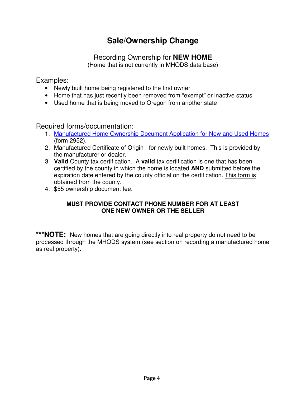# **Sale/Ownership Change**

### Recording Ownership for **NEW HOME**

(Home that is not currently in MHODS data base)

<span id="page-3-0"></span>Examples:

- Newly built home being registered to the first owner
- Home that has just recently been removed from "exempt" or inactive status
- Used home that is being moved to Oregon from another state

Required forms/documentation:

- 1. [Manufactured Home Ownership Document Application for New and Used Homes](http://www.oregon.gov/bcd/Formslibrary/2952.pdf) (form 2952).
- 2. Manufactured Certificate of Origin for newly built homes. This is provided by the manufacturer or dealer.
- 3. **Valid** County tax certification. A **valid** tax certification is one that has been certified by the county in which the home is located **AND** submitted before the expiration date entered by the county official on the certification. This form is obtained from the county.
- 4. \$55 ownership document fee.

#### **MUST PROVIDE CONTACT PHONE NUMBER FOR AT LEAST ONE NEW OWNER OR THE SELLER**

\*\*\***NOTE:** New homes that are going directly into real property do not need to be processed through the MHODS system (see section on recording a manufactured home as real property).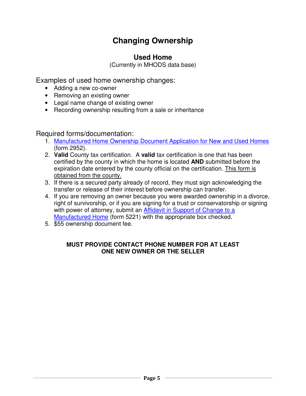# **Changing Ownership**

### **Used Home**

(Currently in MHODS data base)

<span id="page-4-0"></span>Examples of used home ownership changes:

- Adding a new co-owner
- Removing an existing owner
- Legal name change of existing owner
- Recording ownership resulting from a sale or inheritance

Required forms/documentation:

- 1. [Manufactured Home Ownership Document Application for New and Used Homes](http://www.oregon.gov/bcd/Formslibrary/2952.pdf) (form 2952).
- 2. **Valid** County tax certification. A **valid** tax certification is one that has been certified by the county in which the home is located **AND** submitted before the expiration date entered by the county official on the certification. This form is obtained from the county.
- 3. If there is a secured party already of record, they must sign acknowledging the transfer or release of their interest before ownership can transfer.
- 4. If you are removing an owner because you were awarded ownership in a divorce, right of survivorship, or if you are signing for a trust or conservatorship or signing with power of attorney, submit an Affidavit in Support of Change to a Manufactured Home (form 5221) with the appropriate box checked.
- 5. \$55 ownership document fee.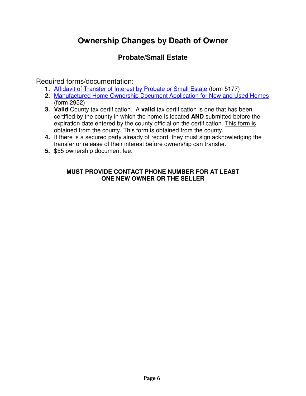# <span id="page-5-0"></span>**Ownership Changes by Death of Owner**

### **Probate/Small Estate**

Required forms/documentation:

- **1.** [Affidavit of Transfer of Interest by Probate or Small Estate](http://www.oregon.gov/bcd/Formslibrary/5177.pdf) (form 5177)
- **2.** [Manufactured Home Ownership Document Application for New and Used Homes](http://www.oregon.gov/bcd/Formslibrary/2952.pdf) (form 2952)
- **3. Valid** County tax certification. A **valid** tax certification is one that has been certified by the county in which the home is located **AND** submitted before the expiration date entered by the county official on the certification. This form is obtained from the county. This form is obtained from the county.
- **4.** If there is a secured party already of record, they must sign acknowledging the transfer or release of their interest before ownership can transfer.
- **5.** \$55 ownership document fee.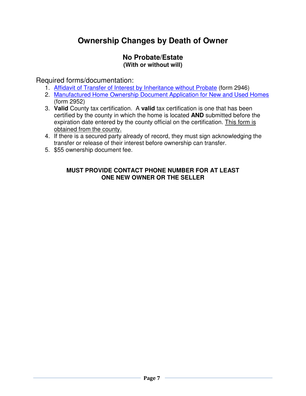# **Ownership Changes by Death of Owner**

#### **No Probate/Estate (With or without will)**

<span id="page-6-0"></span>Required forms/documentation:

- 1. [Affidavit of Transfer of Interest by Inheritance without Probate \(](http://www.oregon.gov/bcd/Formslibrary/2946.pdf)form 2946)
- 2. [Manufactured Home Ownership Document Application for New and Used Homes](http://www.oregon.gov/bcd/Formslibrary/2952.pdf) (form 2952)
- 3. **Valid** County tax certification. A **valid** tax certification is one that has been certified by the county in which the home is located **AND** submitted before the expiration date entered by the county official on the certification. This form is obtained from the county.
- 4. If there is a secured party already of record, they must sign acknowledging the transfer or release of their interest before ownership can transfer.
- 5. \$55 ownership document fee.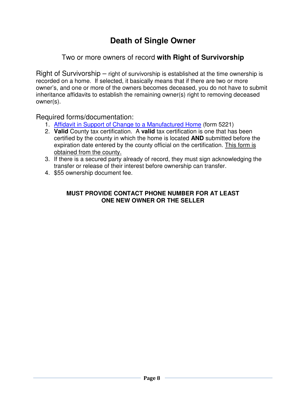# **Death of Single Owner**

### Two or more owners of record **with Right of Survivorship**

<span id="page-7-0"></span>Right of Survivorship – right of survivorship is established at the time ownership is recorded on a home. If selected, it basically means that if there are two or more owner's, and one or more of the owners becomes deceased, you do not have to submit inheritance affidavits to establish the remaining owner(s) right to removing deceased owner(s).

Required forms/documentation:

- 1. [Affidavit in Support of Change to a Manufactured Home](http://www.oregon.gov/bcd/Formslibrary/5221.pdf) (form 5221)
- 2. **Valid** County tax certification. A **valid** tax certification is one that has been certified by the county in which the home is located **AND** submitted before the expiration date entered by the county official on the certification. This form is obtained from the county.
- 3. If there is a secured party already of record, they must sign acknowledging the transfer or release of their interest before ownership can transfer.
- 4. \$55 ownership document fee.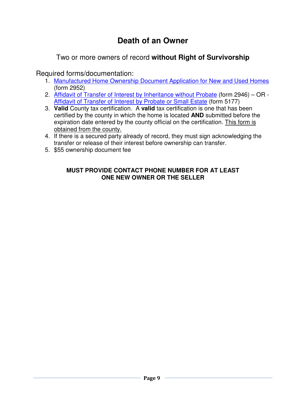# **Death of an Owner**

### <span id="page-8-0"></span>Two or more owners of record **without Right of Survivorship**

### Required forms/documentation:

- 1. [Manufactured Home Ownership Document Application for New and Used Homes](http://www.oregon.gov/bcd/Formslibrary/2952.pdf) (form 2952)
- 2. [Affidavit of Transfer of Interest by Inheritance without Probate](http://www.oregon.gov/bcd/Formslibrary/2946.pdf) (form 2946) OR [Affidavit of Transfer of Interest by Probate or Small Estate](http://www.oregon.gov/bcd/Formslibrary/5177.pdf) (form 5177)
- 3. **Valid** County tax certification. A **valid** tax certification is one that has been certified by the county in which the home is located **AND** submitted before the expiration date entered by the county official on the certification. This form is obtained from the county.
- 4. If there is a secured party already of record, they must sign acknowledging the transfer or release of their interest before ownership can transfer.
- 5. \$55 ownership document fee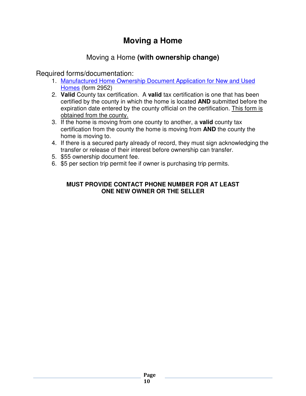# **Moving a Home**

### Moving a Home **(with ownership change)**

### <span id="page-9-0"></span>Required forms/documentation:

- 1. [Manufactured Home Ownership Document Application for New and Used](http://www.oregon.gov/bcd/Formslibrary/2952.pdf) Homes (form 2952)
- 2. **Valid** County tax certification. A **valid** tax certification is one that has been certified by the county in which the home is located **AND** submitted before the expiration date entered by the county official on the certification. This form is obtained from the county.
- 3. If the home is moving from one county to another, a **valid** county tax certification from the county the home is moving from **AND** the county the home is moving to.
- 4. If there is a secured party already of record, they must sign acknowledging the transfer or release of their interest before ownership can transfer.
- 5. \$55 ownership document fee.
- 6. \$5 per section trip permit fee if owner is purchasing trip permits.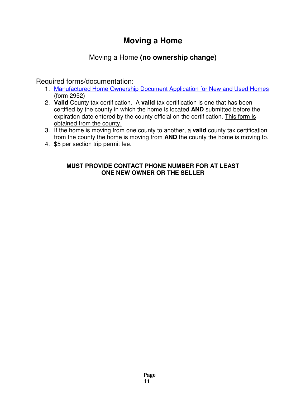# **Moving a Home**

### Moving a Home **(no ownership change)**

### <span id="page-10-0"></span>Required forms/documentation:

- 1. [Manufactured Home Ownership Document Application for New and Used Homes](http://www.oregon.gov/bcd/Formslibrary/2952.pdf) (form 2952)
- 2. **Valid** County tax certification. A **valid** tax certification is one that has been certified by the county in which the home is located **AND** submitted before the expiration date entered by the county official on the certification. This form is obtained from the county.
- 3. If the home is moving from one county to another, a **valid** county tax certification from the county the home is moving from **AND** the county the home is moving to.
- 4. \$5 per section trip permit fee.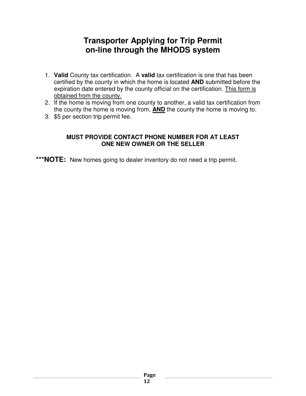### **Transporter Applying for Trip Permit on-line through the MHODS system**

- <span id="page-11-0"></span>1. **Valid** County tax certification. A **valid** tax certification is one that has been certified by the county in which the home is located **AND** submitted before the expiration date entered by the county official on the certification. This form is obtained from the county.
- 2. If the home is moving from one county to another, a valid tax certification from the county the home is moving from, **AND** the county the home is moving to.
- 3. \$5 per section trip permit fee.

#### **MUST PROVIDE CONTACT PHONE NUMBER FOR AT LEAST ONE NEW OWNER OR THE SELLER**

\*\*\***NOTE:** New homes going to dealer inventory do not need a trip permit.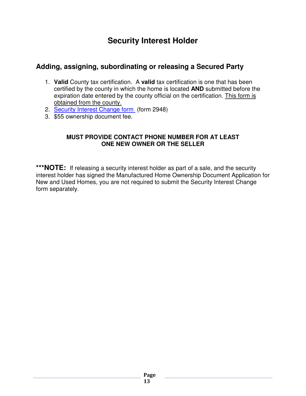# **Security Interest Holder**

### <span id="page-12-0"></span>**Adding, assigning, subordinating or releasing a Secured Party**

- 1. **Valid** County tax certification. A **valid** tax certification is one that has been certified by the county in which the home is located **AND** submitted before the expiration date entered by the county official on the certification. This form is obtained from the county.
- 2. [Security Interest Change form](http://www.oregon.gov/bcd/Formslibrary/2948.pdf) (form 2948)
- 3. \$55 ownership document fee.

#### **MUST PROVIDE CONTACT PHONE NUMBER FOR AT LEAST ONE NEW OWNER OR THE SELLER**

\*\*\***NOTE:** If releasing a security interest holder as part of a sale, and the security interest holder has signed the Manufactured Home Ownership Document Application for New and Used Homes, you are not required to submit the Security Interest Change form separately.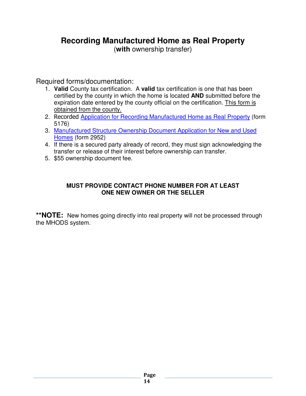# <span id="page-13-0"></span>**Recording Manufactured Home as Real Property**

(**with** ownership transfer)

Required forms/documentation:

- 1. **Valid** County tax certification. A **valid** tax certification is one that has been certified by the county in which the home is located **AND** submitted before the expiration date entered by the county official on the certification. This form is obtained from the county.
- 2. Recorded [Application for Recording Manufactured Home as Real Property](http://www.oregon.gov/bcd/Formslibrary/5176.pdf) (form 5176)
- 3. [Manufactured Structure Ownership Document Application for New and Used](http://www.oregon.gov/bcd/Formslibrary/2952.pdf)  Homes (form 2952)
- 4. If there is a secured party already of record, they must sign acknowledging the transfer or release of their interest before ownership can transfer.
- 5. \$55 ownership document fee.

#### **MUST PROVIDE CONTACT PHONE NUMBER FOR AT LEAST ONE NEW OWNER OR THE SELLER**

**\*\*NOTE:** New homes going directly into real property will not be processed through the MHODS system.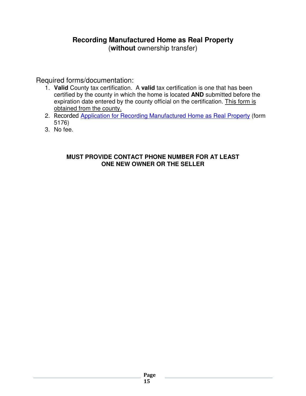#### <span id="page-14-0"></span>**Recording Manufactured Home as Real Property**  (**without** ownership transfer)

Required forms/documentation:

- 1. **Valid** County tax certification. A **valid** tax certification is one that has been certified by the county in which the home is located **AND** submitted before the expiration date entered by the county official on the certification. This form is obtained from the county.
- 2. Recorded [Application for Recording Manufactured Home as Real Property](http://www.oregon.gov/bcd/Formslibrary/5176.pdf) (form 5176)
- 3. No fee.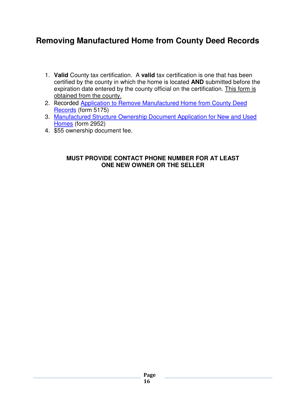# <span id="page-15-0"></span>**Removing Manufactured Home from County Deed Records**

- 1. **Valid** County tax certification. A **valid** tax certification is one that has been certified by the county in which the home is located **AND** submitted before the expiration date entered by the county official on the certification. This form is obtained from the county.
- 2. Recorded [Application to Remove Manufactured Home from County Deed](http://www.oregon.gov/bcd/Formslibrary/5175.pdf) Records (form 5175)
- 3. [Manufactured Structure Ownership Document Application for New and Used](http://www.oregon.gov/bcd/Formslibrary/2952.pdf)  Homes (form 2952)
- 4. \$55 ownership document fee.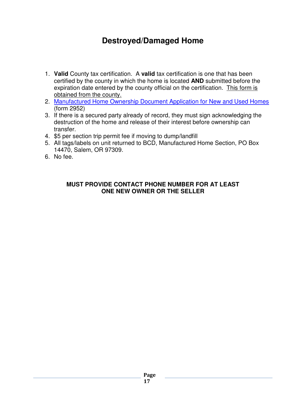# **Destroyed/Damaged Home**

- <span id="page-16-0"></span>1. **Valid** County tax certification. A **valid** tax certification is one that has been certified by the county in which the home is located **AND** submitted before the expiration date entered by the county official on the certification. This form is obtained from the county.
- 2. [Manufactured Home Ownership Document Application for New and Used Homes](http://www.oregon.gov/bcd/Formslibrary/2952.pdf) (form 2952)
- 3. If there is a secured party already of record, they must sign acknowledging the destruction of the home and release of their interest before ownership can transfer.
- 4. \$5 per section trip permit fee if moving to dump/landfill
- 5. All tags/labels on unit returned to BCD, Manufactured Home Section, PO Box 14470, Salem, OR 97309.
- 6. No fee.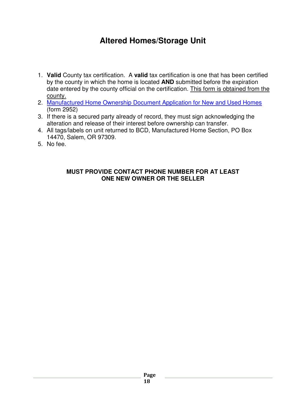# **Altered Homes/Storage Unit**

- <span id="page-17-0"></span>1. **Valid** County tax certification. A **valid** tax certification is one that has been certified by the county in which the home is located **AND** submitted before the expiration date entered by the county official on the certification. This form is obtained from the county.
- 2. [Manufactured Home Ownership Document Application for New and Used Homes](http://www.oregon.gov/bcd/Formslibrary/2952.pdf) (form 2952)
- 3. If there is a secured party already of record, they must sign acknowledging the alteration and release of their interest before ownership can transfer.
- 4. All tags/labels on unit returned to BCD, Manufactured Home Section, PO Box 14470, Salem, OR 97309.
- 5. No fee.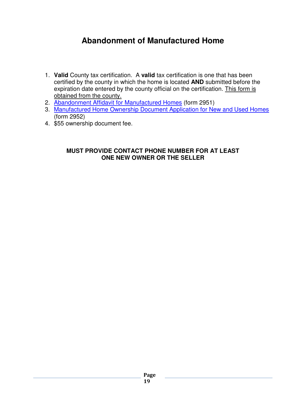# **Abandonment of Manufactured Home**

- <span id="page-18-0"></span>1. **Valid** County tax certification. A **valid** tax certification is one that has been certified by the county in which the home is located **AND** submitted before the expiration date entered by the county official on the certification. This form is obtained from the county.
- 2. [Abandonment Affidavit for Manufactured Homes](http://www.oregon.gov/bcd/Formslibrary/2951.pdf) (form 2951)
- 3. [Manufactured Home Ownership Document Application for New and Used Homes](http://www.oregon.gov/bcd/Formslibrary/2952.pdf) (form 2952)
- 4. \$55 ownership document fee.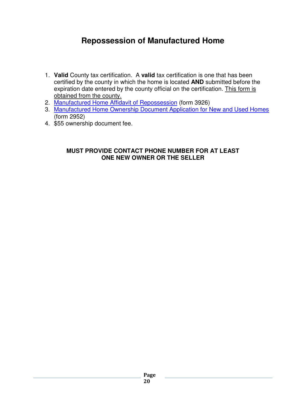# **Repossession of Manufactured Home**

- <span id="page-19-0"></span>1. **Valid** County tax certification. A **valid** tax certification is one that has been certified by the county in which the home is located **AND** submitted before the expiration date entered by the county official on the certification. This form is obtained from the county.
- 2. [Manufactured Home Affidavit of Repossession](http://www.oregon.gov/bcd/Formslibrary/3926.pdf) (form 3926)
- 3. [Manufactured Home Ownership Document Application for New and Used Homes](http://www.oregon.gov/bcd/Formslibrary/2952.pdf) (form 2952)
- 4. \$55 ownership document fee.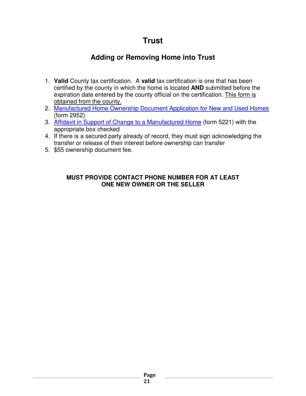### **Adding or Removing Home into Trust**

- <span id="page-20-0"></span>1. **Valid** County tax certification. A **valid** tax certification is one that has been certified by the county in which the home is located **AND** submitted before the expiration date entered by the county official on the certification. This form is obtained from the county.
- 2. [Manufactured Home Ownership Document Application for New and Used Homes](http://www.oregon.gov/bcd/Formslibrary/2952.pdf) (form 2952)
- 3. [Affidavit in Support of Change to a Manufactured Home](http://www.oregon.gov/bcd/Formslibrary/5221.pdf) (form 5221) with the appropriate box checked
- 4. If there is a secured party already of record, they must sign acknowledging the transfer or release of their interest before ownership can transfer
- 5. \$55 ownership document fee.